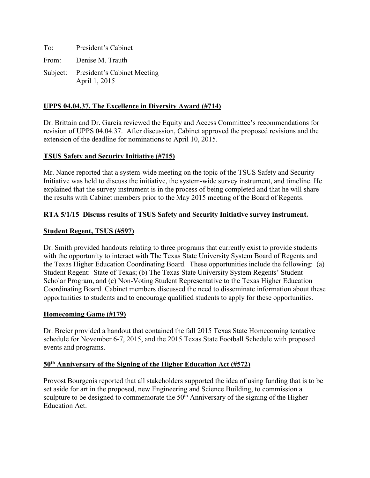To: President's Cabinet From: Denise M. Trauth Subject: President's Cabinet Meeting April 1, 2015

### **UPPS 04.04.37, The Excellence in Diversity Award (#714)**

Dr. Brittain and Dr. Garcia reviewed the Equity and Access Committee's recommendations for revision of UPPS 04.04.37. After discussion, Cabinet approved the proposed revisions and the extension of the deadline for nominations to April 10, 2015.

### **TSUS Safety and Security Initiative (#715)**

Mr. Nance reported that a system-wide meeting on the topic of the TSUS Safety and Security Initiative was held to discuss the initiative, the system-wide survey instrument, and timeline. He explained that the survey instrument is in the process of being completed and that he will share the results with Cabinet members prior to the May 2015 meeting of the Board of Regents.

### **RTA 5/1/15 Discuss results of TSUS Safety and Security Initiative survey instrument.**

#### **Student Regent, TSUS (#597)**

Dr. Smith provided handouts relating to three programs that currently exist to provide students with the opportunity to interact with The Texas State University System Board of Regents and the Texas Higher Education Coordinating Board. These opportunities include the following: (a) Student Regent: State of Texas; (b) The Texas State University System Regents' Student Scholar Program, and (c) Non-Voting Student Representative to the Texas Higher Education Coordinating Board. Cabinet members discussed the need to disseminate information about these opportunities to students and to encourage qualified students to apply for these opportunities.

#### **Homecoming Game (#179)**

Dr. Breier provided a handout that contained the fall 2015 Texas State Homecoming tentative schedule for November 6-7, 2015, and the 2015 Texas State Football Schedule with proposed events and programs.

#### **50th Anniversary of the Signing of the Higher Education Act (#572)**

Provost Bourgeois reported that all stakeholders supported the idea of using funding that is to be set aside for art in the proposed, new Engineering and Science Building, to commission a sculpture to be designed to commemorate the  $50<sup>th</sup>$  Anniversary of the signing of the Higher Education Act.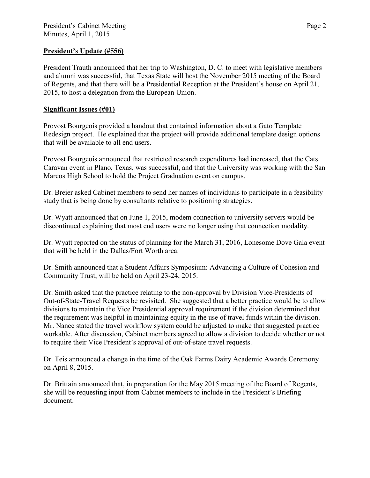### **President's Update (#556)**

President Trauth announced that her trip to Washington, D. C. to meet with legislative members and alumni was successful, that Texas State will host the November 2015 meeting of the Board of Regents, and that there will be a Presidential Reception at the President's house on April 21, 2015, to host a delegation from the European Union.

### **Significant Issues (#01)**

Provost Bourgeois provided a handout that contained information about a Gato Template Redesign project. He explained that the project will provide additional template design options that will be available to all end users.

Provost Bourgeois announced that restricted research expenditures had increased, that the Cats Caravan event in Plano, Texas, was successful, and that the University was working with the San Marcos High School to hold the Project Graduation event on campus.

Dr. Breier asked Cabinet members to send her names of individuals to participate in a feasibility study that is being done by consultants relative to positioning strategies.

Dr. Wyatt announced that on June 1, 2015, modem connection to university servers would be discontinued explaining that most end users were no longer using that connection modality.

Dr. Wyatt reported on the status of planning for the March 31, 2016, Lonesome Dove Gala event that will be held in the Dallas/Fort Worth area.

Dr. Smith announced that a Student Affairs Symposium: Advancing a Culture of Cohesion and Community Trust, will be held on April 23-24, 2015.

Dr. Smith asked that the practice relating to the non-approval by Division Vice-Presidents of Out-of-State-Travel Requests be revisited. She suggested that a better practice would be to allow divisions to maintain the Vice Presidential approval requirement if the division determined that the requirement was helpful in maintaining equity in the use of travel funds within the division. Mr. Nance stated the travel workflow system could be adjusted to make that suggested practice workable. After discussion, Cabinet members agreed to allow a division to decide whether or not to require their Vice President's approval of out-of-state travel requests.

Dr. Teis announced a change in the time of the Oak Farms Dairy Academic Awards Ceremony on April 8, 2015.

Dr. Brittain announced that, in preparation for the May 2015 meeting of the Board of Regents, she will be requesting input from Cabinet members to include in the President's Briefing document.